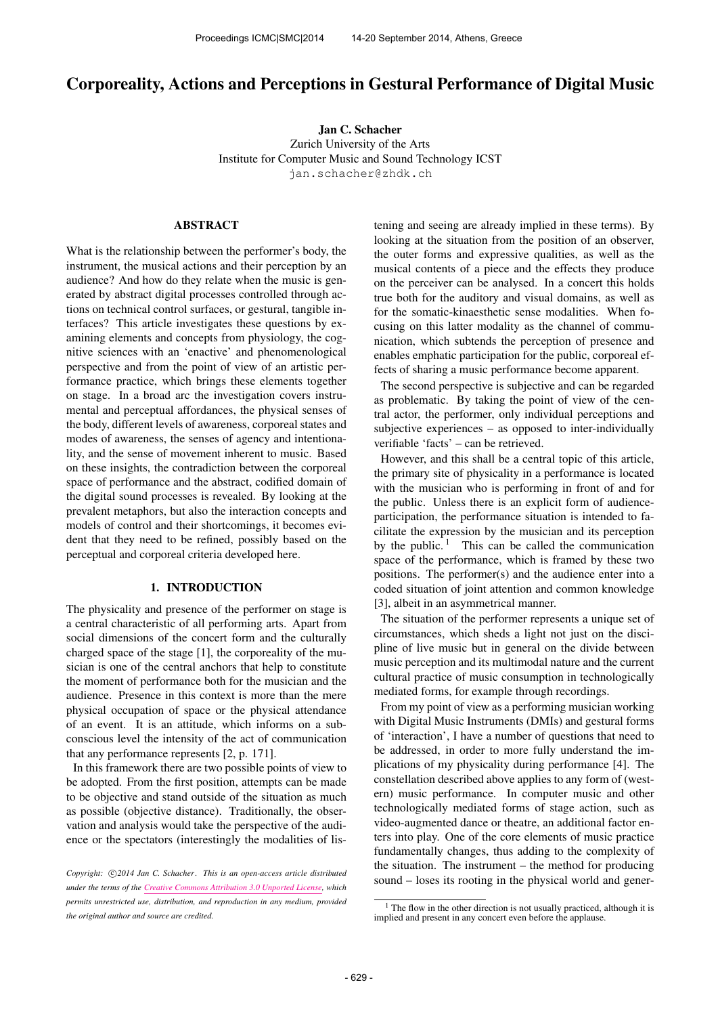# Corporeality, Actions and Perceptions in Gestural Performance of Digital Music

Jan C. Schacher Zurich University of the Arts Institute for Computer Music and Sound Technology ICST <jan.schacher@zhdk.ch>

## ABSTRACT

What is the relationship between the performer's body, the instrument, the musical actions and their perception by an audience? And how do they relate when the music is generated by abstract digital processes controlled through actions on technical control surfaces, or gestural, tangible interfaces? This article investigates these questions by examining elements and concepts from physiology, the cognitive sciences with an 'enactive' and phenomenological perspective and from the point of view of an artistic performance practice, which brings these elements together on stage. In a broad arc the investigation covers instrumental and perceptual affordances, the physical senses of the body, different levels of awareness, corporeal states and modes of awareness, the senses of agency and intentionality, and the sense of movement inherent to music. Based on these insights, the contradiction between the corporeal space of performance and the abstract, codified domain of the digital sound processes is revealed. By looking at the prevalent metaphors, but also the interaction concepts and models of control and their shortcomings, it becomes evident that they need to be refined, possibly based on the perceptual and corporeal criteria developed here.

# 1. INTRODUCTION

The physicality and presence of the performer on stage is a central characteristic of all performing arts. Apart from social dimensions of the concert form and the culturally charged space of the stage [1], the corporeality of the musician is one of the central anchors that help to constitute the moment of performance both for the musician and the audience. Presence in this context is more than the mere physical occupation of space or the physical attendance of an event. It is an attitude, which informs on a subconscious level the intensity of the act of communication that any performance represents [2, p. 171].

In this framework there are two possible points of view to be adopted. From the first position, attempts can be made to be objective and stand outside of the situation as much as possible (objective distance). Traditionally, the observation and analysis would take the perspective of the audience or the spectators (interestingly the modalities of listening and seeing are already implied in these terms). By looking at the situation from the position of an observer, the outer forms and expressive qualities, as well as the musical contents of a piece and the effects they produce on the perceiver can be analysed. In a concert this holds true both for the auditory and visual domains, as well as for the somatic-kinaesthetic sense modalities. When focusing on this latter modality as the channel of communication, which subtends the perception of presence and enables emphatic participation for the public, corporeal effects of sharing a music performance become apparent.

The second perspective is subjective and can be regarded as problematic. By taking the point of view of the central actor, the performer, only individual perceptions and subjective experiences – as opposed to inter-individually verifiable 'facts' – can be retrieved.

However, and this shall be a central topic of this article, the primary site of physicality in a performance is located with the musician who is performing in front of and for the public. Unless there is an explicit form of audienceparticipation, the performance situation is intended to facilitate the expression by the musician and its perception by the public.  $\frac{1}{1}$  This can be called the communication space of the performance, which is framed by these two positions. The performer(s) and the audience enter into a coded situation of joint attention and common knowledge [3], albeit in an asymmetrical manner.

The situation of the performer represents a unique set of circumstances, which sheds a light not just on the discipline of live music but in general on the divide between music perception and its multimodal nature and the current cultural practice of music consumption in technologically mediated forms, for example through recordings.

From my point of view as a performing musician working with Digital Music Instruments (DMIs) and gestural forms of 'interaction', I have a number of questions that need to be addressed, in order to more fully understand the implications of my physicality during performance [4]. The constellation described above applies to any form of (western) music performance. In computer music and other technologically mediated forms of stage action, such as video-augmented dance or theatre, an additional factor enters into play. One of the core elements of music practice fundamentally changes, thus adding to the complexity of the situation. The instrument – the method for producing sound – loses its rooting in the physical world and gener-

Copyright:  $\bigcirc$ 2014 Jan C. Schacher. This is an open-access article distributed *under the terms of the [Creative Commons Attribution 3.0 Unported License,](http://creativecommons.org/licenses/by/3.0/) which permits unrestricted use, distribution, and reproduction in any medium, provided the original author and source are credited.*

 $<sup>1</sup>$  The flow in the other direction is not usually practiced, although it is</sup> implied and present in any concert even before the applause.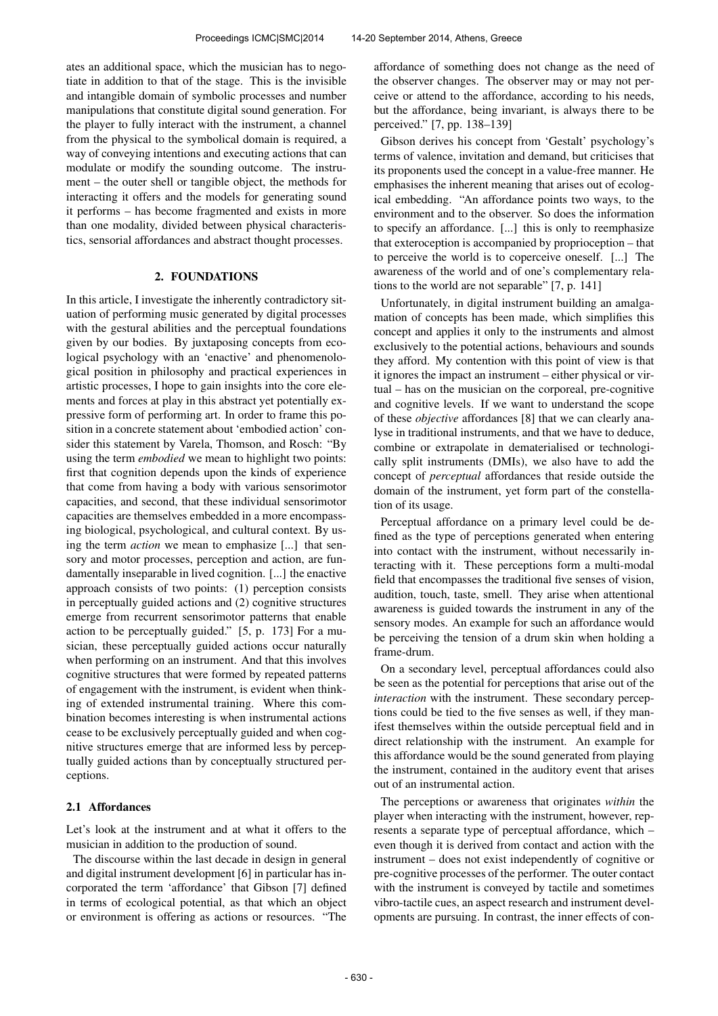ates an additional space, which the musician has to negotiate in addition to that of the stage. This is the invisible and intangible domain of symbolic processes and number manipulations that constitute digital sound generation. For the player to fully interact with the instrument, a channel from the physical to the symbolical domain is required, a way of conveying intentions and executing actions that can modulate or modify the sounding outcome. The instrument – the outer shell or tangible object, the methods for interacting it offers and the models for generating sound it performs – has become fragmented and exists in more than one modality, divided between physical characteristics, sensorial affordances and abstract thought processes.

### 2. FOUNDATIONS

In this article, I investigate the inherently contradictory situation of performing music generated by digital processes with the gestural abilities and the perceptual foundations given by our bodies. By juxtaposing concepts from ecological psychology with an 'enactive' and phenomenological position in philosophy and practical experiences in artistic processes, I hope to gain insights into the core elements and forces at play in this abstract yet potentially expressive form of performing art. In order to frame this position in a concrete statement about 'embodied action' consider this statement by Varela, Thomson, and Rosch: "By using the term *embodied* we mean to highlight two points: first that cognition depends upon the kinds of experience that come from having a body with various sensorimotor capacities, and second, that these individual sensorimotor capacities are themselves embedded in a more encompassing biological, psychological, and cultural context. By using the term *action* we mean to emphasize [...] that sensory and motor processes, perception and action, are fundamentally inseparable in lived cognition. [...] the enactive approach consists of two points: (1) perception consists in perceptually guided actions and (2) cognitive structures emerge from recurrent sensorimotor patterns that enable action to be perceptually guided." [5, p. 173] For a musician, these perceptually guided actions occur naturally when performing on an instrument. And that this involves cognitive structures that were formed by repeated patterns of engagement with the instrument, is evident when thinking of extended instrumental training. Where this combination becomes interesting is when instrumental actions cease to be exclusively perceptually guided and when cognitive structures emerge that are informed less by perceptually guided actions than by conceptually structured perceptions.

## 2.1 Affordances

Let's look at the instrument and at what it offers to the musician in addition to the production of sound.

The discourse within the last decade in design in general and digital instrument development [6] in particular has incorporated the term 'affordance' that Gibson [7] defined in terms of ecological potential, as that which an object or environment is offering as actions or resources. "The affordance of something does not change as the need of the observer changes. The observer may or may not perceive or attend to the affordance, according to his needs, but the affordance, being invariant, is always there to be perceived." [7, pp. 138–139]

Gibson derives his concept from 'Gestalt' psychology's terms of valence, invitation and demand, but criticises that its proponents used the concept in a value-free manner. He emphasises the inherent meaning that arises out of ecological embedding. "An affordance points two ways, to the environment and to the observer. So does the information to specify an affordance. [...] this is only to reemphasize that exteroception is accompanied by proprioception – that to perceive the world is to coperceive oneself. [...] The awareness of the world and of one's complementary relations to the world are not separable" [7, p. 141]

Unfortunately, in digital instrument building an amalgamation of concepts has been made, which simplifies this concept and applies it only to the instruments and almost exclusively to the potential actions, behaviours and sounds they afford. My contention with this point of view is that it ignores the impact an instrument – either physical or virtual – has on the musician on the corporeal, pre-cognitive and cognitive levels. If we want to understand the scope of these *objective* affordances [8] that we can clearly analyse in traditional instruments, and that we have to deduce, combine or extrapolate in dematerialised or technologically split instruments (DMIs), we also have to add the concept of *perceptual* affordances that reside outside the domain of the instrument, yet form part of the constellation of its usage.

Perceptual affordance on a primary level could be defined as the type of perceptions generated when entering into contact with the instrument, without necessarily interacting with it. These perceptions form a multi-modal field that encompasses the traditional five senses of vision, audition, touch, taste, smell. They arise when attentional awareness is guided towards the instrument in any of the sensory modes. An example for such an affordance would be perceiving the tension of a drum skin when holding a frame-drum.

On a secondary level, perceptual affordances could also be seen as the potential for perceptions that arise out of the *interaction* with the instrument. These secondary perceptions could be tied to the five senses as well, if they manifest themselves within the outside perceptual field and in direct relationship with the instrument. An example for this affordance would be the sound generated from playing the instrument, contained in the auditory event that arises out of an instrumental action.

The perceptions or awareness that originates *within* the player when interacting with the instrument, however, represents a separate type of perceptual affordance, which – even though it is derived from contact and action with the instrument – does not exist independently of cognitive or pre-cognitive processes of the performer. The outer contact with the instrument is conveyed by tactile and sometimes vibro-tactile cues, an aspect research and instrument developments are pursuing. In contrast, the inner effects of con-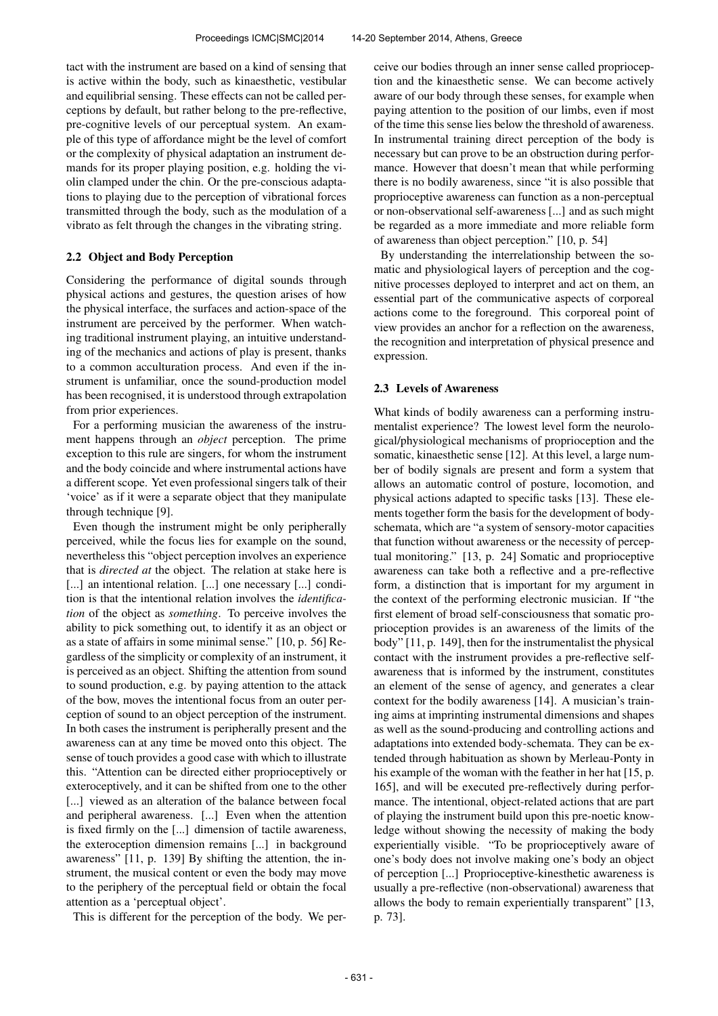tact with the instrument are based on a kind of sensing that is active within the body, such as kinaesthetic, vestibular and equilibrial sensing. These effects can not be called perceptions by default, but rather belong to the pre-reflective, pre-cognitive levels of our perceptual system. An example of this type of affordance might be the level of comfort or the complexity of physical adaptation an instrument demands for its proper playing position, e.g. holding the violin clamped under the chin. Or the pre-conscious adaptations to playing due to the perception of vibrational forces transmitted through the body, such as the modulation of a vibrato as felt through the changes in the vibrating string.

# 2.2 Object and Body Perception

Considering the performance of digital sounds through physical actions and gestures, the question arises of how the physical interface, the surfaces and action-space of the instrument are perceived by the performer. When watching traditional instrument playing, an intuitive understanding of the mechanics and actions of play is present, thanks to a common acculturation process. And even if the instrument is unfamiliar, once the sound-production model has been recognised, it is understood through extrapolation from prior experiences.

For a performing musician the awareness of the instrument happens through an *object* perception. The prime exception to this rule are singers, for whom the instrument and the body coincide and where instrumental actions have a different scope. Yet even professional singers talk of their 'voice' as if it were a separate object that they manipulate through technique [9].

Even though the instrument might be only peripherally perceived, while the focus lies for example on the sound, nevertheless this "object perception involves an experience that is *directed at* the object. The relation at stake here is [...] an intentional relation. [...] one necessary [...] condition is that the intentional relation involves the *identification* of the object as *something*. To perceive involves the ability to pick something out, to identify it as an object or as a state of affairs in some minimal sense." [10, p. 56] Regardless of the simplicity or complexity of an instrument, it is perceived as an object. Shifting the attention from sound to sound production, e.g. by paying attention to the attack of the bow, moves the intentional focus from an outer perception of sound to an object perception of the instrument. In both cases the instrument is peripherally present and the awareness can at any time be moved onto this object. The sense of touch provides a good case with which to illustrate this. "Attention can be directed either proprioceptively or exteroceptively, and it can be shifted from one to the other [...] viewed as an alteration of the balance between focal and peripheral awareness. [...] Even when the attention is fixed firmly on the [...] dimension of tactile awareness, the exteroception dimension remains [...] in background awareness" [11, p. 139] By shifting the attention, the instrument, the musical content or even the body may move to the periphery of the perceptual field or obtain the focal attention as a 'perceptual object'.

This is different for the perception of the body. We per-

ceive our bodies through an inner sense called proprioception and the kinaesthetic sense. We can become actively aware of our body through these senses, for example when paying attention to the position of our limbs, even if most of the time this sense lies below the threshold of awareness. In instrumental training direct perception of the body is necessary but can prove to be an obstruction during performance. However that doesn't mean that while performing there is no bodily awareness, since "it is also possible that proprioceptive awareness can function as a non-perceptual or non-observational self-awareness [...] and as such might be regarded as a more immediate and more reliable form of awareness than object perception." [10, p. 54]

By understanding the interrelationship between the somatic and physiological layers of perception and the cognitive processes deployed to interpret and act on them, an essential part of the communicative aspects of corporeal actions come to the foreground. This corporeal point of view provides an anchor for a reflection on the awareness, the recognition and interpretation of physical presence and expression.

## 2.3 Levels of Awareness

What kinds of bodily awareness can a performing instrumentalist experience? The lowest level form the neurological/physiological mechanisms of proprioception and the somatic, kinaesthetic sense [12]. At this level, a large number of bodily signals are present and form a system that allows an automatic control of posture, locomotion, and physical actions adapted to specific tasks [13]. These elements together form the basis for the development of bodyschemata, which are "a system of sensory-motor capacities that function without awareness or the necessity of perceptual monitoring." [13, p. 24] Somatic and proprioceptive awareness can take both a reflective and a pre-reflective form, a distinction that is important for my argument in the context of the performing electronic musician. If "the first element of broad self-consciousness that somatic proprioception provides is an awareness of the limits of the body" [11, p. 149], then for the instrumentalist the physical contact with the instrument provides a pre-reflective selfawareness that is informed by the instrument, constitutes an element of the sense of agency, and generates a clear context for the bodily awareness [14]. A musician's training aims at imprinting instrumental dimensions and shapes as well as the sound-producing and controlling actions and adaptations into extended body-schemata. They can be extended through habituation as shown by Merleau-Ponty in his example of the woman with the feather in her hat [15, p. 165], and will be executed pre-reflectively during performance. The intentional, object-related actions that are part of playing the instrument build upon this pre-noetic knowledge without showing the necessity of making the body experientially visible. "To be proprioceptively aware of one's body does not involve making one's body an object of perception [...] Proprioceptive-kinesthetic awareness is usually a pre-reflective (non-observational) awareness that allows the body to remain experientially transparent" [13, p. 73].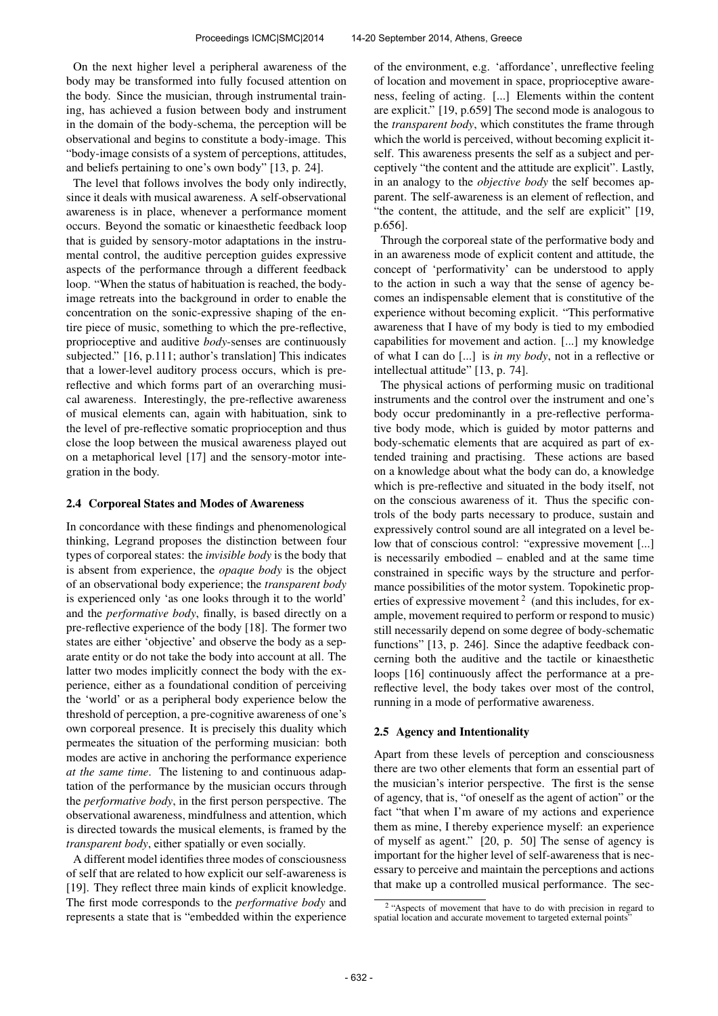On the next higher level a peripheral awareness of the body may be transformed into fully focused attention on the body. Since the musician, through instrumental training, has achieved a fusion between body and instrument in the domain of the body-schema, the perception will be observational and begins to constitute a body-image. This "body-image consists of a system of perceptions, attitudes, and beliefs pertaining to one's own body" [13, p. 24].

The level that follows involves the body only indirectly, since it deals with musical awareness. A self-observational awareness is in place, whenever a performance moment occurs. Beyond the somatic or kinaesthetic feedback loop that is guided by sensory-motor adaptations in the instrumental control, the auditive perception guides expressive aspects of the performance through a different feedback loop. "When the status of habituation is reached, the bodyimage retreats into the background in order to enable the concentration on the sonic-expressive shaping of the entire piece of music, something to which the pre-reflective, proprioceptive and auditive *body*-senses are continuously subjected." [16, p.111; author's translation] This indicates that a lower-level auditory process occurs, which is prereflective and which forms part of an overarching musical awareness. Interestingly, the pre-reflective awareness of musical elements can, again with habituation, sink to the level of pre-reflective somatic proprioception and thus close the loop between the musical awareness played out on a metaphorical level [17] and the sensory-motor integration in the body.

#### 2.4 Corporeal States and Modes of Awareness

In concordance with these findings and phenomenological thinking, Legrand proposes the distinction between four types of corporeal states: the *invisible body* is the body that is absent from experience, the *opaque body* is the object of an observational body experience; the *transparent body* is experienced only 'as one looks through it to the world' and the *performative body*, finally, is based directly on a pre-reflective experience of the body [18]. The former two states are either 'objective' and observe the body as a separate entity or do not take the body into account at all. The latter two modes implicitly connect the body with the experience, either as a foundational condition of perceiving the 'world' or as a peripheral body experience below the threshold of perception, a pre-cognitive awareness of one's own corporeal presence. It is precisely this duality which permeates the situation of the performing musician: both modes are active in anchoring the performance experience *at the same time*. The listening to and continuous adaptation of the performance by the musician occurs through the *performative body*, in the first person perspective. The observational awareness, mindfulness and attention, which is directed towards the musical elements, is framed by the *transparent body*, either spatially or even socially.

A different model identifies three modes of consciousness of self that are related to how explicit our self-awareness is [19]. They reflect three main kinds of explicit knowledge. The first mode corresponds to the *performative body* and represents a state that is "embedded within the experience of the environment, e.g. 'affordance', unreflective feeling of location and movement in space, proprioceptive awareness, feeling of acting. [...] Elements within the content are explicit." [19, p.659] The second mode is analogous to the *transparent body*, which constitutes the frame through which the world is perceived, without becoming explicit itself. This awareness presents the self as a subject and perceptively "the content and the attitude are explicit". Lastly, in an analogy to the *objective body* the self becomes apparent. The self-awareness is an element of reflection, and "the content, the attitude, and the self are explicit" [19, p.656].

Through the corporeal state of the performative body and in an awareness mode of explicit content and attitude, the concept of 'performativity' can be understood to apply to the action in such a way that the sense of agency becomes an indispensable element that is constitutive of the experience without becoming explicit. "This performative awareness that I have of my body is tied to my embodied capabilities for movement and action. [...] my knowledge of what I can do [...] is *in my body*, not in a reflective or intellectual attitude" [13, p. 74].

The physical actions of performing music on traditional instruments and the control over the instrument and one's body occur predominantly in a pre-reflective performative body mode, which is guided by motor patterns and body-schematic elements that are acquired as part of extended training and practising. These actions are based on a knowledge about what the body can do, a knowledge which is pre-reflective and situated in the body itself, not on the conscious awareness of it. Thus the specific controls of the body parts necessary to produce, sustain and expressively control sound are all integrated on a level below that of conscious control: "expressive movement [...] is necessarily embodied – enabled and at the same time constrained in specific ways by the structure and performance possibilities of the motor system. Topokinetic properties of expressive movement<sup>2</sup> (and this includes, for example, movement required to perform or respond to music) still necessarily depend on some degree of body-schematic functions" [13, p. 246]. Since the adaptive feedback concerning both the auditive and the tactile or kinaesthetic loops [16] continuously affect the performance at a prereflective level, the body takes over most of the control, running in a mode of performative awareness.

## 2.5 Agency and Intentionality

Apart from these levels of perception and consciousness there are two other elements that form an essential part of the musician's interior perspective. The first is the sense of agency, that is, "of oneself as the agent of action" or the fact "that when I'm aware of my actions and experience them as mine, I thereby experience myself: an experience of myself as agent." [20, p. 50] The sense of agency is important for the higher level of self-awareness that is necessary to perceive and maintain the perceptions and actions that make up a controlled musical performance. The sec-

<sup>&</sup>lt;sup>2</sup> "Aspects of movement that have to do with precision in regard to spatial location and accurate movement to targeted external points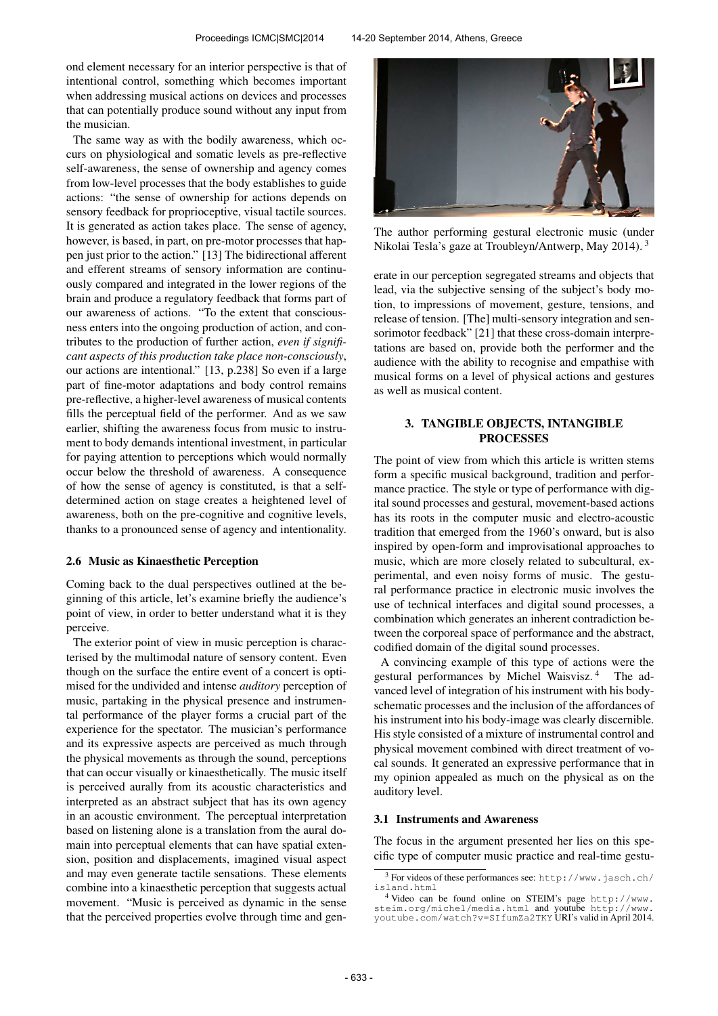ond element necessary for an interior perspective is that of intentional control, something which becomes important when addressing musical actions on devices and processes that can potentially produce sound without any input from the musician.

The same way as with the bodily awareness, which occurs on physiological and somatic levels as pre-reflective self-awareness, the sense of ownership and agency comes from low-level processes that the body establishes to guide actions: "the sense of ownership for actions depends on sensory feedback for proprioceptive, visual tactile sources. It is generated as action takes place. The sense of agency, however, is based, in part, on pre-motor processes that happen just prior to the action." [13] The bidirectional afferent and efferent streams of sensory information are continuously compared and integrated in the lower regions of the brain and produce a regulatory feedback that forms part of our awareness of actions. "To the extent that consciousness enters into the ongoing production of action, and contributes to the production of further action, *even if significant aspects of this production take place non-consciously*, our actions are intentional." [13, p.238] So even if a large part of fine-motor adaptations and body control remains pre-reflective, a higher-level awareness of musical contents fills the perceptual field of the performer. And as we saw earlier, shifting the awareness focus from music to instrument to body demands intentional investment, in particular for paying attention to perceptions which would normally occur below the threshold of awareness. A consequence of how the sense of agency is constituted, is that a selfdetermined action on stage creates a heightened level of awareness, both on the pre-cognitive and cognitive levels, thanks to a pronounced sense of agency and intentionality.

#### 2.6 Music as Kinaesthetic Perception

Coming back to the dual perspectives outlined at the beginning of this article, let's examine briefly the audience's point of view, in order to better understand what it is they perceive.

The exterior point of view in music perception is characterised by the multimodal nature of sensory content. Even though on the surface the entire event of a concert is optimised for the undivided and intense *auditory* perception of music, partaking in the physical presence and instrumental performance of the player forms a crucial part of the experience for the spectator. The musician's performance and its expressive aspects are perceived as much through the physical movements as through the sound, perceptions that can occur visually or kinaesthetically. The music itself is perceived aurally from its acoustic characteristics and interpreted as an abstract subject that has its own agency in an acoustic environment. The perceptual interpretation based on listening alone is a translation from the aural domain into perceptual elements that can have spatial extension, position and displacements, imagined visual aspect and may even generate tactile sensations. These elements combine into a kinaesthetic perception that suggests actual movement. "Music is perceived as dynamic in the sense that the perceived properties evolve through time and gen-



The author performing gestural electronic music (under Nikolai Tesla's gaze at Troubleyn/Antwerp, May 2014). <sup>3</sup>

erate in our perception segregated streams and objects that lead, via the subjective sensing of the subject's body motion, to impressions of movement, gesture, tensions, and release of tension. [The] multi-sensory integration and sensorimotor feedback" [21] that these cross-domain interpretations are based on, provide both the performer and the audience with the ability to recognise and empathise with musical forms on a level of physical actions and gestures as well as musical content.

## 3. TANGIBLE OBJECTS, INTANGIBLE **PROCESSES**

The point of view from which this article is written stems form a specific musical background, tradition and performance practice. The style or type of performance with digital sound processes and gestural, movement-based actions has its roots in the computer music and electro-acoustic tradition that emerged from the 1960's onward, but is also inspired by open-form and improvisational approaches to music, which are more closely related to subcultural, experimental, and even noisy forms of music. The gestural performance practice in electronic music involves the use of technical interfaces and digital sound processes, a combination which generates an inherent contradiction between the corporeal space of performance and the abstract, codified domain of the digital sound processes.

A convincing example of this type of actions were the gestural performances by Michel Waisvisz. <sup>4</sup> The advanced level of integration of his instrument with his bodyschematic processes and the inclusion of the affordances of his instrument into his body-image was clearly discernible. His style consisted of a mixture of instrumental control and physical movement combined with direct treatment of vocal sounds. It generated an expressive performance that in my opinion appealed as much on the physical as on the auditory level.

### 3.1 Instruments and Awareness

The focus in the argument presented her lies on this specific type of computer music practice and real-time gestu-

<sup>3</sup> For videos of these performances see: [http://www.jasch.ch/](http://www.jasch.ch/island.html) [island.html](http://www.jasch.ch/island.html)

<sup>4</sup> Video can be found online on STEIM's page [http://www.](http://www.steim.org/michel/media.html) [steim.org/michel/media.html](http://www.steim.org/michel/media.html) and youtube [http://www.](http://www.youtube.com/watch?v=SIfumZa2TKY) [youtube.com/watch?v=SIfumZa2TKY](http://www.youtube.com/watch?v=SIfumZa2TKY) URI's valid in April 2014.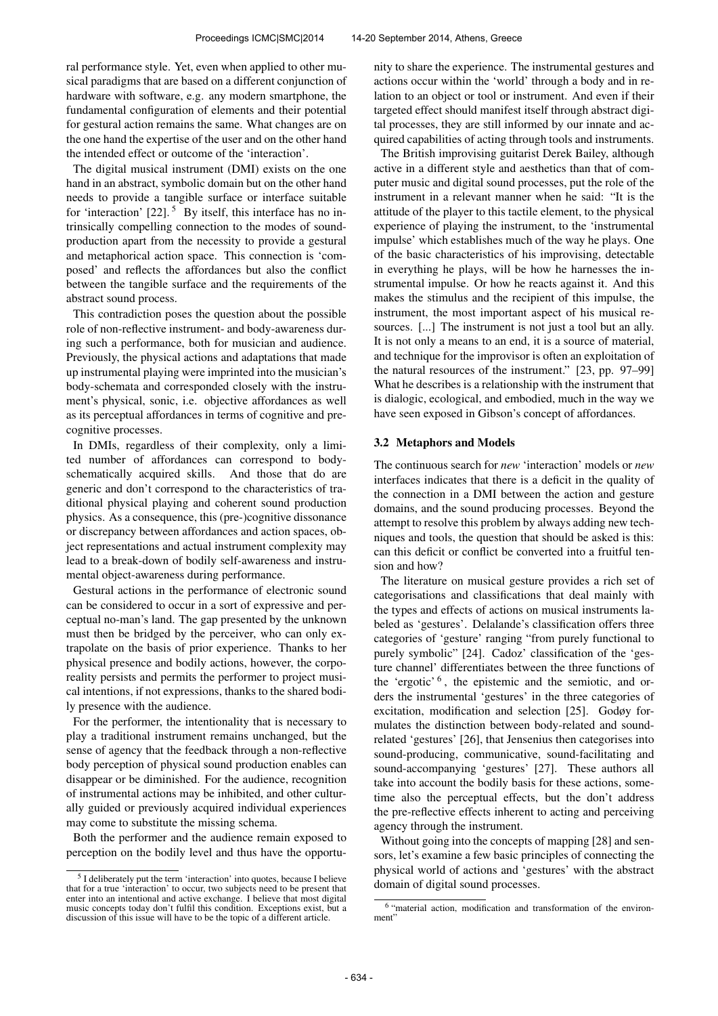ral performance style. Yet, even when applied to other musical paradigms that are based on a different conjunction of hardware with software, e.g. any modern smartphone, the fundamental configuration of elements and their potential for gestural action remains the same. What changes are on the one hand the expertise of the user and on the other hand the intended effect or outcome of the 'interaction'.

The digital musical instrument (DMI) exists on the one hand in an abstract, symbolic domain but on the other hand needs to provide a tangible surface or interface suitable for 'interaction'  $[22]$ .<sup>5</sup> By itself, this interface has no intrinsically compelling connection to the modes of soundproduction apart from the necessity to provide a gestural and metaphorical action space. This connection is 'composed' and reflects the affordances but also the conflict between the tangible surface and the requirements of the abstract sound process.

This contradiction poses the question about the possible role of non-reflective instrument- and body-awareness during such a performance, both for musician and audience. Previously, the physical actions and adaptations that made up instrumental playing were imprinted into the musician's body-schemata and corresponded closely with the instrument's physical, sonic, i.e. objective affordances as well as its perceptual affordances in terms of cognitive and precognitive processes.

In DMIs, regardless of their complexity, only a limited number of affordances can correspond to bodyschematically acquired skills. And those that do are generic and don't correspond to the characteristics of traditional physical playing and coherent sound production physics. As a consequence, this (pre-)cognitive dissonance or discrepancy between affordances and action spaces, object representations and actual instrument complexity may lead to a break-down of bodily self-awareness and instrumental object-awareness during performance.

Gestural actions in the performance of electronic sound can be considered to occur in a sort of expressive and perceptual no-man's land. The gap presented by the unknown must then be bridged by the perceiver, who can only extrapolate on the basis of prior experience. Thanks to her physical presence and bodily actions, however, the corporeality persists and permits the performer to project musical intentions, if not expressions, thanks to the shared bodily presence with the audience.

For the performer, the intentionality that is necessary to play a traditional instrument remains unchanged, but the sense of agency that the feedback through a non-reflective body perception of physical sound production enables can disappear or be diminished. For the audience, recognition of instrumental actions may be inhibited, and other culturally guided or previously acquired individual experiences may come to substitute the missing schema.

Both the performer and the audience remain exposed to perception on the bodily level and thus have the opportunity to share the experience. The instrumental gestures and actions occur within the 'world' through a body and in relation to an object or tool or instrument. And even if their targeted effect should manifest itself through abstract digital processes, they are still informed by our innate and acquired capabilities of acting through tools and instruments.

The British improvising guitarist Derek Bailey, although active in a different style and aesthetics than that of computer music and digital sound processes, put the role of the instrument in a relevant manner when he said: "It is the attitude of the player to this tactile element, to the physical experience of playing the instrument, to the 'instrumental impulse' which establishes much of the way he plays. One of the basic characteristics of his improvising, detectable in everything he plays, will be how he harnesses the instrumental impulse. Or how he reacts against it. And this makes the stimulus and the recipient of this impulse, the instrument, the most important aspect of his musical resources. [...] The instrument is not just a tool but an ally. It is not only a means to an end, it is a source of material, and technique for the improvisor is often an exploitation of the natural resources of the instrument." [23, pp. 97–99] What he describes is a relationship with the instrument that is dialogic, ecological, and embodied, much in the way we have seen exposed in Gibson's concept of affordances.

## 3.2 Metaphors and Models

The continuous search for *new* 'interaction' models or *new* interfaces indicates that there is a deficit in the quality of the connection in a DMI between the action and gesture domains, and the sound producing processes. Beyond the attempt to resolve this problem by always adding new techniques and tools, the question that should be asked is this: can this deficit or conflict be converted into a fruitful tension and how?

The literature on musical gesture provides a rich set of categorisations and classifications that deal mainly with the types and effects of actions on musical instruments labeled as 'gestures'. Delalande's classification offers three categories of 'gesture' ranging "from purely functional to purely symbolic" [24]. Cadoz' classification of the 'gesture channel' differentiates between the three functions of the 'ergotic' <sup>6</sup> , the epistemic and the semiotic, and orders the instrumental 'gestures' in the three categories of excitation, modification and selection [25]. Godøy formulates the distinction between body-related and soundrelated 'gestures' [26], that Jensenius then categorises into sound-producing, communicative, sound-facilitating and sound-accompanying 'gestures' [27]. These authors all take into account the bodily basis for these actions, sometime also the perceptual effects, but the don't address the pre-reflective effects inherent to acting and perceiving agency through the instrument.

Without going into the concepts of mapping [28] and sensors, let's examine a few basic principles of connecting the physical world of actions and 'gestures' with the abstract domain of digital sound processes.

<sup>&</sup>lt;sup>5</sup> I deliberately put the term 'interaction' into quotes, because I believe that for a true 'interaction' to occur, two subjects need to be present that enter into an intentional and active exchange. I believe that most digital music concepts today don't fulfil this condition. Exceptions exist, but a discussion of this issue will have to be the topic of a different article.

<sup>6</sup> "material action, modification and transformation of the environment"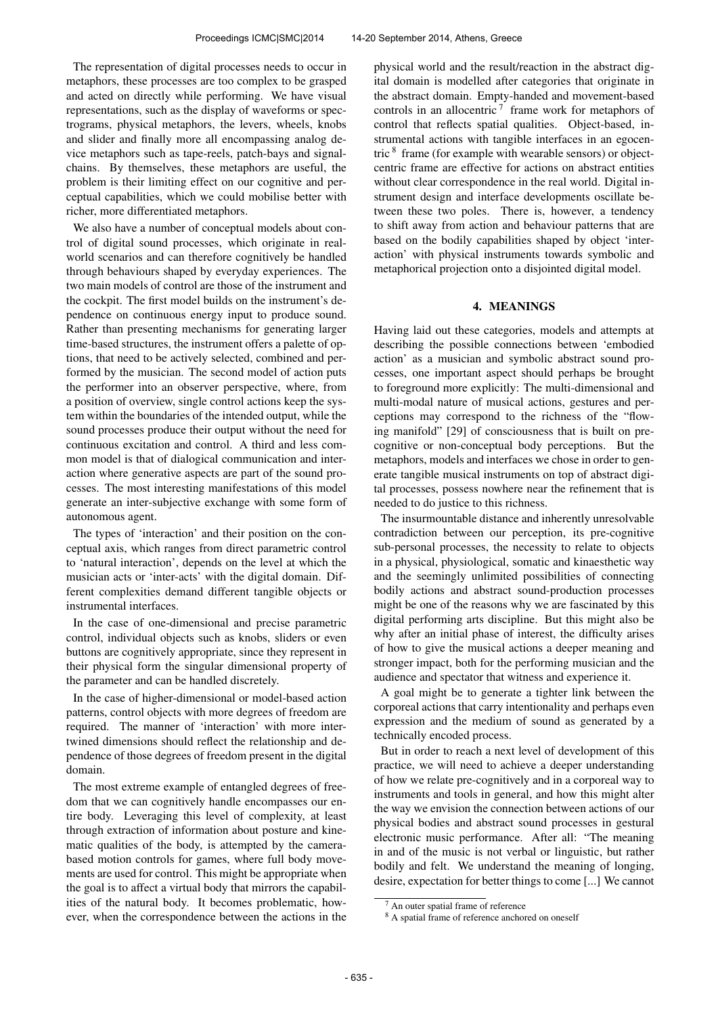The representation of digital processes needs to occur in metaphors, these processes are too complex to be grasped and acted on directly while performing. We have visual representations, such as the display of waveforms or spectrograms, physical metaphors, the levers, wheels, knobs and slider and finally more all encompassing analog device metaphors such as tape-reels, patch-bays and signalchains. By themselves, these metaphors are useful, the problem is their limiting effect on our cognitive and perceptual capabilities, which we could mobilise better with richer, more differentiated metaphors.

We also have a number of conceptual models about control of digital sound processes, which originate in realworld scenarios and can therefore cognitively be handled through behaviours shaped by everyday experiences. The two main models of control are those of the instrument and the cockpit. The first model builds on the instrument's dependence on continuous energy input to produce sound. Rather than presenting mechanisms for generating larger time-based structures, the instrument offers a palette of options, that need to be actively selected, combined and performed by the musician. The second model of action puts the performer into an observer perspective, where, from a position of overview, single control actions keep the system within the boundaries of the intended output, while the sound processes produce their output without the need for continuous excitation and control. A third and less common model is that of dialogical communication and interaction where generative aspects are part of the sound processes. The most interesting manifestations of this model generate an inter-subjective exchange with some form of autonomous agent.

The types of 'interaction' and their position on the conceptual axis, which ranges from direct parametric control to 'natural interaction', depends on the level at which the musician acts or 'inter-acts' with the digital domain. Different complexities demand different tangible objects or instrumental interfaces.

In the case of one-dimensional and precise parametric control, individual objects such as knobs, sliders or even buttons are cognitively appropriate, since they represent in their physical form the singular dimensional property of the parameter and can be handled discretely.

In the case of higher-dimensional or model-based action patterns, control objects with more degrees of freedom are required. The manner of 'interaction' with more intertwined dimensions should reflect the relationship and dependence of those degrees of freedom present in the digital domain.

The most extreme example of entangled degrees of freedom that we can cognitively handle encompasses our entire body. Leveraging this level of complexity, at least through extraction of information about posture and kinematic qualities of the body, is attempted by the camerabased motion controls for games, where full body movements are used for control. This might be appropriate when the goal is to affect a virtual body that mirrors the capabilities of the natural body. It becomes problematic, however, when the correspondence between the actions in the physical world and the result/reaction in the abstract digital domain is modelled after categories that originate in the abstract domain. Empty-handed and movement-based controls in an allocentric<sup>7</sup> frame work for metaphors of control that reflects spatial qualities. Object-based, instrumental actions with tangible interfaces in an egocentric <sup>8</sup> frame (for example with wearable sensors) or objectcentric frame are effective for actions on abstract entities without clear correspondence in the real world. Digital instrument design and interface developments oscillate between these two poles. There is, however, a tendency to shift away from action and behaviour patterns that are based on the bodily capabilities shaped by object 'interaction' with physical instruments towards symbolic and metaphorical projection onto a disjointed digital model.

### 4. MEANINGS

Having laid out these categories, models and attempts at describing the possible connections between 'embodied action' as a musician and symbolic abstract sound processes, one important aspect should perhaps be brought to foreground more explicitly: The multi-dimensional and multi-modal nature of musical actions, gestures and perceptions may correspond to the richness of the "flowing manifold" [29] of consciousness that is built on precognitive or non-conceptual body perceptions. But the metaphors, models and interfaces we chose in order to generate tangible musical instruments on top of abstract digital processes, possess nowhere near the refinement that is needed to do justice to this richness.

The insurmountable distance and inherently unresolvable contradiction between our perception, its pre-cognitive sub-personal processes, the necessity to relate to objects in a physical, physiological, somatic and kinaesthetic way and the seemingly unlimited possibilities of connecting bodily actions and abstract sound-production processes might be one of the reasons why we are fascinated by this digital performing arts discipline. But this might also be why after an initial phase of interest, the difficulty arises of how to give the musical actions a deeper meaning and stronger impact, both for the performing musician and the audience and spectator that witness and experience it.

A goal might be to generate a tighter link between the corporeal actions that carry intentionality and perhaps even expression and the medium of sound as generated by a technically encoded process.

But in order to reach a next level of development of this practice, we will need to achieve a deeper understanding of how we relate pre-cognitively and in a corporeal way to instruments and tools in general, and how this might alter the way we envision the connection between actions of our physical bodies and abstract sound processes in gestural electronic music performance. After all: "The meaning in and of the music is not verbal or linguistic, but rather bodily and felt. We understand the meaning of longing, desire, expectation for better things to come [...] We cannot

An outer spatial frame of reference

<sup>&</sup>lt;sup>8</sup> A spatial frame of reference anchored on oneself